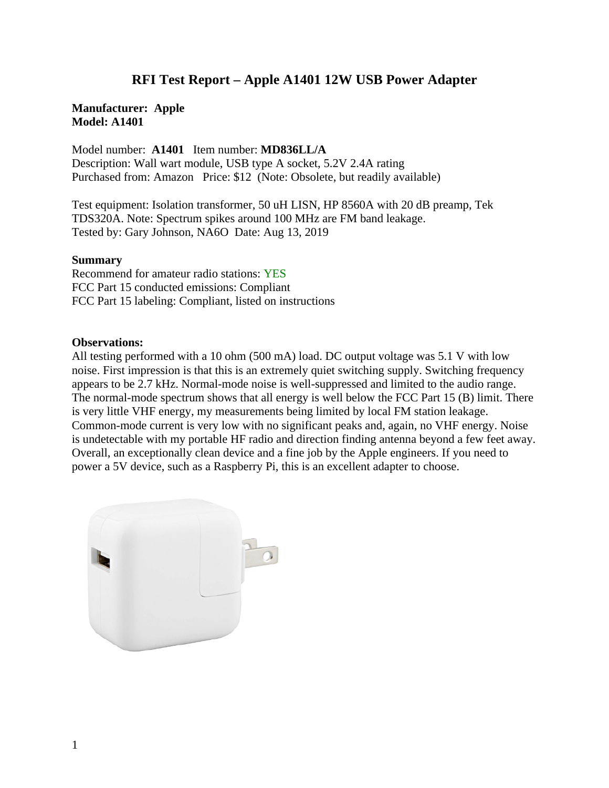## **RFI Test Report – Apple A1401 12W USB Power Adapter**

## **Manufacturer: Apple Model: A1401**

Model number: **A1401** Item number: **MD836LL/A** Description: Wall wart module, USB type A socket, 5.2V 2.4A rating Purchased from: Amazon Price: \$12 (Note: Obsolete, but readily available)

Test equipment: Isolation transformer, 50 uH LISN, HP 8560A with 20 dB preamp, Tek TDS320A. Note: Spectrum spikes around 100 MHz are FM band leakage. Tested by: Gary Johnson, NA6O Date: Aug 13, 2019

## **Summary**

Recommend for amateur radio stations: YES FCC Part 15 conducted emissions: Compliant FCC Part 15 labeling: Compliant, listed on instructions

## **Observations:**

All testing performed with a 10 ohm (500 mA) load. DC output voltage was 5.1 V with low noise. First impression is that this is an extremely quiet switching supply. Switching frequency appears to be 2.7 kHz. Normal-mode noise is well-suppressed and limited to the audio range. The normal-mode spectrum shows that all energy is well below the FCC Part 15 (B) limit. There is very little VHF energy, my measurements being limited by local FM station leakage. Common-mode current is very low with no significant peaks and, again, no VHF energy. Noise is undetectable with my portable HF radio and direction finding antenna beyond a few feet away. Overall, an exceptionally clean device and a fine job by the Apple engineers. If you need to power a 5V device, such as a Raspberry Pi, this is an excellent adapter to choose.

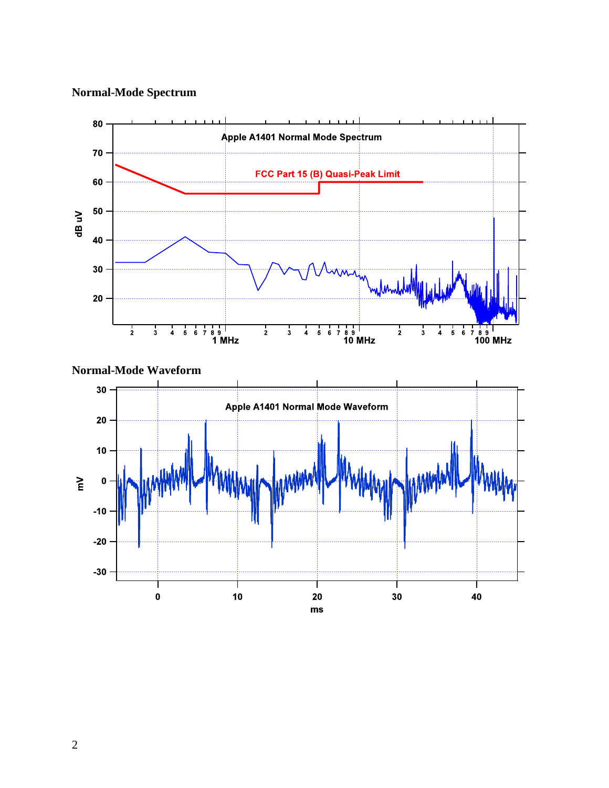